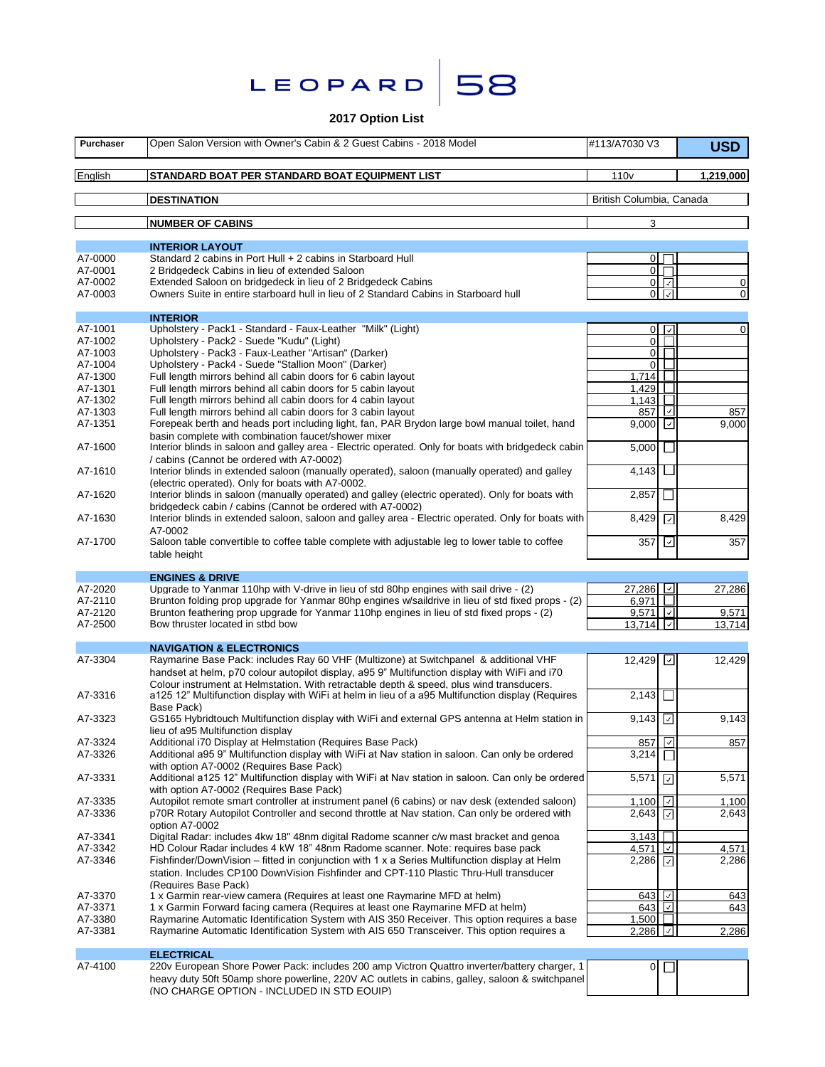| LEOPARD |  |
|---------|--|
|         |  |

# **2017 Option List**

58

| Purchaser | Open Salon Version with Owner's Cabin & 2 Guest Cabins - 2018 Model                                                                                                                            | #113/A7030 V3                         |                       | <b>USD</b>  |
|-----------|------------------------------------------------------------------------------------------------------------------------------------------------------------------------------------------------|---------------------------------------|-----------------------|-------------|
| English   | STANDARD BOAT PER STANDARD BOAT EQUIPMENT LIST                                                                                                                                                 | 110 <sub>v</sub>                      |                       | 1,219,000   |
|           | <b>DESTINATION</b>                                                                                                                                                                             | British Columbia, Canada              |                       |             |
|           | <b>NUMBER OF CABINS</b>                                                                                                                                                                        | 3                                     |                       |             |
|           | <b>INTERIOR LAYOUT</b>                                                                                                                                                                         |                                       |                       |             |
| A7-0000   | Standard 2 cabins in Port Hull + 2 cabins in Starboard Hull                                                                                                                                    | $\overline{0}$                        |                       |             |
| A7-0001   | 2 Bridgedeck Cabins in lieu of extended Saloon                                                                                                                                                 | 0 <sup>1</sup>                        |                       |             |
| A7-0002   | Extended Saloon on bridgedeck in lieu of 2 Bridgedeck Cabins                                                                                                                                   |                                       | $0\sqrt{2}$           | 0           |
| A7-0003   | Owners Suite in entire starboard hull in lieu of 2 Standard Cabins in Starboard hull                                                                                                           |                                       | $0\sqrt{2}$           | 0           |
|           | <b>INTERIOR</b>                                                                                                                                                                                |                                       |                       |             |
| A7-1001   | Upholstery - Pack1 - Standard - Faux-Leather "Milk" (Light)                                                                                                                                    |                                       | $0$ $  \vee  $        | $\mathbf 0$ |
| A7-1002   | Upholstery - Pack2 - Suede "Kudu" (Light)                                                                                                                                                      | $\overline{0}$                        |                       |             |
| A7-1003   | Upholstery - Pack3 - Faux-Leather "Artisan" (Darker)                                                                                                                                           | $\overline{0}$                        |                       |             |
| A7-1004   | Upholstery - Pack4 - Suede "Stallion Moon" (Darker)                                                                                                                                            | $\Omega$                              |                       |             |
| A7-1300   | Full length mirrors behind all cabin doors for 6 cabin layout                                                                                                                                  | 1,714                                 |                       |             |
| A7-1301   | Full length mirrors behind all cabin doors for 5 cabin layout                                                                                                                                  | 1,429                                 |                       |             |
| A7-1302   | Full length mirrors behind all cabin doors for 4 cabin layout                                                                                                                                  | 1,143                                 |                       |             |
| A7-1303   | Full length mirrors behind all cabin doors for 3 cabin layout                                                                                                                                  | 857                                   | I√I                   | 857         |
| A7-1351   | Forepeak berth and heads port including light, fan, PAR Brydon large bowl manual toilet, hand<br>basin complete with combination faucet/shower mixer                                           | 9,000                                 | $\sqrt{ }$            | 9,000       |
| A7-1600   | Interior blinds in saloon and galley area - Electric operated. Only for boats with bridgedeck cabin<br>/ cabins (Cannot be ordered with A7-0002)                                               | $5,000$ $\Box$                        |                       |             |
| A7-1610   | Interior blinds in extended saloon (manually operated), saloon (manually operated) and galley<br>(electric operated). Only for boats with A7-0002.                                             | $4,143$ L                             |                       |             |
| A7-1620   | Interior blinds in saloon (manually operated) and galley (electric operated). Only for boats with<br>bridgedeck cabin / cabins (Cannot be ordered with A7-0002)                                | 2,857                                 |                       |             |
| A7-1630   | Interior blinds in extended saloon, saloon and galley area - Electric operated. Only for boats with<br>A7-0002                                                                                 | 8,429                                 | ⊡                     | 8,429       |
| A7-1700   | Saloon table convertible to coffee table complete with adjustable leg to lower table to coffee<br>table height                                                                                 | 357                                   | ⊡                     | 357         |
|           |                                                                                                                                                                                                |                                       |                       |             |
| A7-2020   | <b>ENGINES &amp; DRIVE</b><br>Upgrade to Yanmar 110hp with V-drive in lieu of std 80hp engines with sail drive - (2)                                                                           | 27,286                                |                       |             |
| A7-2110   | Brunton folding prop upgrade for Yanmar 80hp engines w/saildrive in lieu of std fixed props - (2)                                                                                              | 6,971                                 |                       | 27,286      |
| A7-2120   | Brunton feathering prop upgrade for Yanmar 110hp engines in lieu of std fixed props - (2)                                                                                                      | $9,571$ $\Box$                        |                       | 9,571       |
| A7-2500   | Bow thruster located in stbd bow                                                                                                                                                               | 13,714                                |                       | 13,714      |
|           |                                                                                                                                                                                                |                                       |                       |             |
| A7-3304   | <b>NAVIGATION &amp; ELECTRONICS</b><br>Raymarine Base Pack: includes Ray 60 VHF (Multizone) at Switchpanel & additional VHF                                                                    | 12,429 $\boxed{\cup}$                 |                       | 12,429      |
|           | handset at helm, p70 colour autopilot display, a95 9" Multifunction display with WiFi and i70<br>Colour instrument at Helmstation. With retractable depth & speed, plus wind transducers.      |                                       |                       |             |
| A7-3316   | a125 12" Multifunction display with WiFi at helm in lieu of a a95 Multifunction display (Requires<br>Base Pack)                                                                                | 2,143                                 |                       |             |
| A7-3323   | GS165 Hybridtouch Multifunction display with WiFi and external GPS antenna at Helm station in<br>lieu of a95 Multifunction display                                                             | 9,143 $\boxed{\circ}$                 |                       | 9,143       |
| A7-3324   | Additional i70 Display at Helmstation (Requires Base Pack)                                                                                                                                     | 857 $\sqrt{ }$                        |                       | 857         |
| A7-3326   | Additional a95 9" Multifunction display with WiFi at Nav station in saloon. Can only be ordered<br>with option A7-0002 (Requires Base Pack)                                                    | 3,214                                 |                       |             |
| A7-3331   | Additional a125 12" Multifunction display with WiFi at Nav station in saloon. Can only be ordered<br>with option A7-0002 (Requires Base Pack)                                                  | 5,571                                 | $\boxed{\mathcal{L}}$ | 5,571       |
| A7-3335   | Autopilot remote smart controller at instrument panel (6 cabins) or nav desk (extended saloon)                                                                                                 | $1,100$ $\boxed{\lvert \cdot \rvert}$ |                       | 1,100       |
| A7-3336   | p70R Rotary Autopilot Controller and second throttle at Nav station. Can only be ordered with<br>option A7-0002                                                                                | 2,643 $\boxed{\text{ }}$              |                       | 2,643       |
| A7-3341   | Digital Radar: includes 4kw 18" 48nm digital Radome scanner c/w mast bracket and genoa                                                                                                         | 3,143                                 |                       |             |
| A7-3342   | HD Colour Radar includes 4 kW 18" 48nm Radome scanner. Note: requires base pack                                                                                                                | 4,571 $\vert \vee \vert$              |                       | 4,571       |
| A7-3346   | Fishfinder/DownVision – fitted in conjunction with $1 \times a$ Series Multifunction display at Helm<br>station, Includes CP100 DownVision Fishfinder and CPT-110 Plastic Thru-Hull transducer | 2,286 $\boxed{\text{ }}$              |                       | 2,286       |
|           | (Requires Base Pack)                                                                                                                                                                           |                                       |                       |             |
| A7-3370   | 1 x Garmin rear-view camera (Requires at least one Raymarine MFD at helm)                                                                                                                      | 643 $\Box$                            |                       | 643         |
| A7-3371   | 1 x Garmin Forward facing camera (Requires at least one Raymarine MFD at helm)                                                                                                                 | 643 $\sqrt{2}$                        |                       | 643         |
| A7-3380   | Raymarine Automatic Identification System with AIS 350 Receiver. This option requires a base                                                                                                   | 1,500                                 |                       |             |
| A7-3381   | Raymarine Automatic Identification System with AIS 650 Transceiver. This option requires a                                                                                                     | $2,286$ $\boxed{7}$                   |                       | 2,286       |
|           | <b>ELECTRICAL</b>                                                                                                                                                                              |                                       |                       |             |
| A7-4100   | 220v European Shore Power Pack: includes 200 amp Victron Quattro inverter/battery charger, 1                                                                                                   |                                       | $0$ $\Box$            |             |
|           | heavy duty 50ft 50amp shore powerline, 220V AC outlets in cabins, galley, saloon & switchpanel                                                                                                 |                                       |                       |             |

(NO CHARGE OPTION - INCLUDED IN STD EQUIP)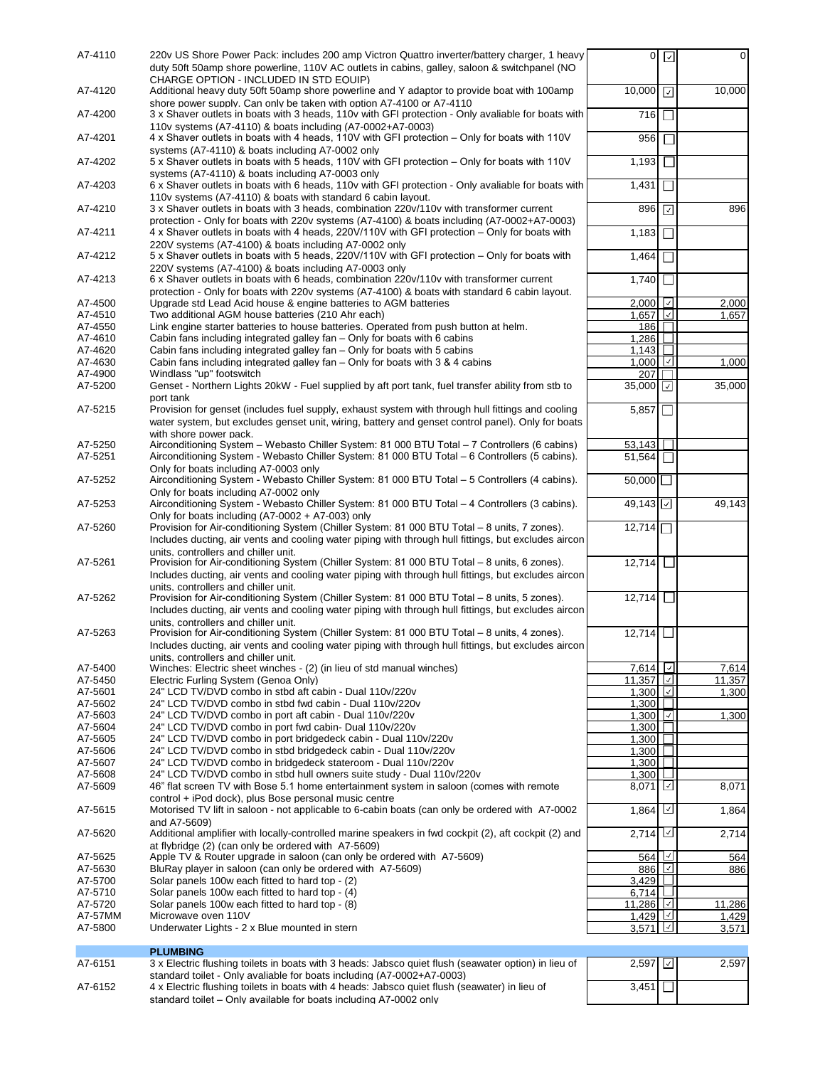| A7-4110            | 220v US Shore Power Pack: includes 200 amp Victron Quattro inverter/battery charger, 1 heavy<br>duty 50ft 50amp shore powerline, 110V AC outlets in cabins, galley, saloon & switchpanel (NO |                                             | 0 <sub>2</sub> | $\overline{0}$ |
|--------------------|----------------------------------------------------------------------------------------------------------------------------------------------------------------------------------------------|---------------------------------------------|----------------|----------------|
|                    | CHARGE OPTION - INCLUDED IN STD EQUIP)                                                                                                                                                       |                                             |                |                |
| A7-4120            | Additional heavy duty 50ft 50amp shore powerline and Y adaptor to provide boat with 100amp                                                                                                   | 10,000                                      |                | 10,000         |
| A7-4200            | shore power supply. Can only be taken with option A7-4100 or A7-4110<br>3 x Shaver outlets in boats with 3 heads, 110v with GFI protection - Only avaliable for boats with                   | 716                                         |                |                |
|                    | 110 v systems (A7-4110) & boats including (A7-0002+A7-0003)                                                                                                                                  |                                             |                |                |
| A7-4201            | 4 x Shaver outlets in boats with 4 heads, 110V with GFI protection – Only for boats with 110V                                                                                                | 956                                         |                |                |
|                    | systems (A7-4110) & boats including A7-0002 only                                                                                                                                             |                                             |                |                |
| A7-4202            | 5 x Shaver outlets in boats with 5 heads, 110V with GFI protection – Only for boats with 110V                                                                                                | 1,193                                       |                |                |
|                    | systems (A7-4110) & boats including A7-0003 only                                                                                                                                             |                                             |                |                |
| A7-4203            | 6 x Shaver outlets in boats with 6 heads, 110v with GFI protection - Only avaliable for boats with<br>110 vsystems (A7-4110) & boats with standard 6 cabin layout.                           | 1,431                                       |                |                |
| A7-4210            | 3 x Shaver outlets in boats with 3 heads, combination 220v/110v with transformer current                                                                                                     | 896 7                                       |                | 896            |
|                    | protection - Only for boats with 220v systems (A7-4100) & boats including (A7-0002+A7-0003)                                                                                                  |                                             |                |                |
| A7-4211            | 4 x Shaver outlets in boats with 4 heads, 220V/110V with GFI protection - Only for boats with                                                                                                | 1,183                                       |                |                |
|                    | 220V systems (A7-4100) & boats including A7-0002 only                                                                                                                                        |                                             |                |                |
| A7-4212            | 5 x Shaver outlets in boats with 5 heads, 220V/110V with GFI protection – Only for boats with                                                                                                | 1,464                                       |                |                |
|                    | 220V systems (A7-4100) & boats including A7-0003 only                                                                                                                                        |                                             |                |                |
| A7-4213            | 6 x Shaver outlets in boats with 6 heads, combination 220v/110v with transformer current<br>protection - Only for boats with 220v systems (A7-4100) & boats with standard 6 cabin layout.    | 1,740                                       |                |                |
| A7-4500            | Upgrade std Lead Acid house & engine batteries to AGM batteries                                                                                                                              | $2,000$ $\vert \vee \vert$                  |                | 2,000          |
| A7-4510            | Two additional AGM house batteries (210 Ahr each)                                                                                                                                            | 1.657                                       |                | 1.657          |
| A7-4550            | Link engine starter batteries to house batteries. Operated from push button at helm.                                                                                                         | 186                                         |                |                |
| A7-4610            | Cabin fans including integrated galley fan - Only for boats with 6 cabins                                                                                                                    | 1.286                                       |                |                |
| A7-4620            | Cabin fans including integrated galley fan – Only for boats with 5 cabins                                                                                                                    | 1,143                                       |                |                |
| A7-4630            | Cabin fans including integrated galley fan - Only for boats with 3 & 4 cabins                                                                                                                | 1,000                                       |                | 1,000          |
| A7-4900            | Windlass "up" footswitch                                                                                                                                                                     | 207                                         |                |                |
| A7-5200            | Genset - Northern Lights 20kW - Fuel supplied by aft port tank, fuel transfer ability from stb to                                                                                            | 35,000 $\boxed{\sqrt{ }}$                   |                | 35,000         |
| A7-5215            | port tank<br>Provision for genset (includes fuel supply, exhaust system with through hull fittings and cooling                                                                               |                                             |                |                |
|                    | water system, but excludes genset unit, wiring, battery and genset control panel). Only for boats                                                                                            | 5,857                                       |                |                |
|                    | with shore power pack.                                                                                                                                                                       |                                             |                |                |
| A7-5250            | Airconditioning System – Webasto Chiller System: 81 000 BTU Total – 7 Controllers (6 cabins)                                                                                                 | 53,143                                      |                |                |
| A7-5251            | Airconditioning System - Webasto Chiller System: 81 000 BTU Total - 6 Controllers (5 cabins).                                                                                                | 51,564                                      |                |                |
|                    | Only for boats including A7-0003 only                                                                                                                                                        |                                             |                |                |
| A7-5252            | Airconditioning System - Webasto Chiller System: 81 000 BTU Total - 5 Controllers (4 cabins).                                                                                                | $50,000$                                    |                |                |
|                    | Only for boats including A7-0002 only                                                                                                                                                        |                                             |                |                |
| A7-5253            | Airconditioning System - Webasto Chiller System: 81 000 BTU Total - 4 Controllers (3 cabins).                                                                                                | $49,143$ $\vert \cdot \vert$                |                | 49,143         |
| A7-5260            | Only for boats including (A7-0002 + A7-003) only<br>Provision for Air-conditioning System (Chiller System: 81 000 BTU Total - 8 units, 7 zones).                                             | 12,714                                      |                |                |
|                    | Includes ducting, air vents and cooling water piping with through hull fittings, but excludes aircon                                                                                         |                                             |                |                |
|                    | units. controllers and chiller unit.                                                                                                                                                         |                                             |                |                |
| A7-5261            | Provision for Air-conditioning System (Chiller System: 81 000 BTU Total – 8 units, 6 zones).                                                                                                 | 12,714                                      |                |                |
|                    | Includes ducting, air vents and cooling water piping with through hull fittings, but excludes aircon                                                                                         |                                             |                |                |
|                    | units, controllers and chiller unit.                                                                                                                                                         |                                             |                |                |
| A7-5262            | Provision for Air-conditioning System (Chiller System: 81 000 BTU Total - 8 units, 5 zones).                                                                                                 | 12.714                                      |                |                |
|                    | Includes ducting, air vents and cooling water piping with through hull fittings, but excludes aircon                                                                                         |                                             |                |                |
| A7-5263            | units. controllers and chiller unit.<br>Provision for Air-conditioning System (Chiller System: 81 000 BTU Total – 8 units, 4 zones).                                                         | 12,714                                      |                |                |
|                    | Includes ducting, air vents and cooling water piping with through hull fittings, but excludes aircon                                                                                         |                                             |                |                |
|                    | units. controllers and chiller unit.                                                                                                                                                         |                                             |                |                |
| A7-5400            | Winches: Electric sheet winches - (2) (in lieu of std manual winches)                                                                                                                        | $7,614$ $\Box$                              |                | 7,614          |
| A7-5450            | Electric Furling System (Genoa Only)                                                                                                                                                         | 11,357                                      |                | 11,357         |
| A7-5601            | 24" LCD TV/DVD combo in stbd aft cabin - Dual 110v/220v                                                                                                                                      | 1,300 $\vert \underline{\mathcal{L}} \vert$ |                | 1,300          |
| A7-5602            |                                                                                                                                                                                              |                                             |                |                |
| A7-5603            | 24" LCD TV/DVD combo in stbd fwd cabin - Dual 110v/220v                                                                                                                                      | 1,300                                       |                |                |
|                    | 24" LCD TV/DVD combo in port aft cabin - Dual 110v/220v                                                                                                                                      | 1,300 $\boxed{\circ}$                       |                | 1,300          |
| A7-5604            | 24" LCD TV/DVD combo in port fwd cabin- Dual 110v/220v                                                                                                                                       | 1,300                                       |                |                |
| A7-5605            | 24" LCD TV/DVD combo in port bridgedeck cabin - Dual 110v/220v                                                                                                                               | 1,300                                       |                |                |
| A7-5606            | 24" LCD TV/DVD combo in stbd bridgedeck cabin - Dual 110v/220v                                                                                                                               | 1,300                                       |                |                |
| A7-5607<br>A7-5608 | 24" LCD TV/DVD combo in bridgedeck stateroom - Dual 110v/220v<br>24" LCD TV/DVD combo in stbd hull owners suite study - Dual 110v/220v                                                       | 1,300<br>1,300                              |                |                |
| A7-5609            | 46" flat screen TV with Bose 5.1 home entertainment system in saloon (comes with remote                                                                                                      | $8,071$ $\vert \underline{\smile} \vert$    |                | 8,071          |
|                    | control + iPod dock), plus Bose personal music centre                                                                                                                                        |                                             |                |                |
| A7-5615            | Motorised TV lift in saloon - not applicable to 6-cabin boats (can only be ordered with A7-0002                                                                                              | 1,864 $\Box$                                |                | 1,864          |
|                    | and A7-5609)                                                                                                                                                                                 |                                             |                |                |
| A7-5620            | Additional amplifier with locally-controlled marine speakers in fwd cockpit (2), aft cockpit (2) and                                                                                         | 2,714                                       |                | 2,714          |
|                    | at flybridge (2) (can only be ordered with A7-5609)                                                                                                                                          |                                             |                |                |
| A7-5625<br>A7-5630 | Apple TV & Router upgrade in saloon (can only be ordered with A7-5609)                                                                                                                       | 564                                         |                | 564<br>886     |
| A7-5700            | BluRay player in saloon (can only be ordered with A7-5609)<br>Solar panels 100w each fitted to hard top - (2)                                                                                | 886 $\boxed{\triangle}$<br>3.429            | $\mathbb{R}$   |                |
| A7-5710            | Solar panels 100w each fitted to hard top - (4)                                                                                                                                              | 6,714                                       | $\Box$         |                |
| A7-5720            | Solar panels 100w each fitted to hard top - (8)                                                                                                                                              | 11,286                                      |                | 11,286         |
| A7-57MM            | Microwave oven 110V                                                                                                                                                                          | $1,429$ $\boxed{\cup}$                      |                | 1,429          |
| A7-5800            | Underwater Lights - 2 x Blue mounted in stern                                                                                                                                                | 3,571 $\boxed{1}$                           |                | 3,571          |
|                    |                                                                                                                                                                                              |                                             |                |                |
| A7-6151            | <b>PLUMBING</b><br>3 x Electric flushing toilets in boats with 3 heads: Jabsco quiet flush (seawater option) in lieu of                                                                      | 2,597   네                                   |                | 2,597          |

 $3,451$ 

A7-6152 4 x Electric flushing toilets in boats with 4 heads: Jabsco quiet flush (seawater) in lieu of standard toilet – Only available for boats including A7-0002 only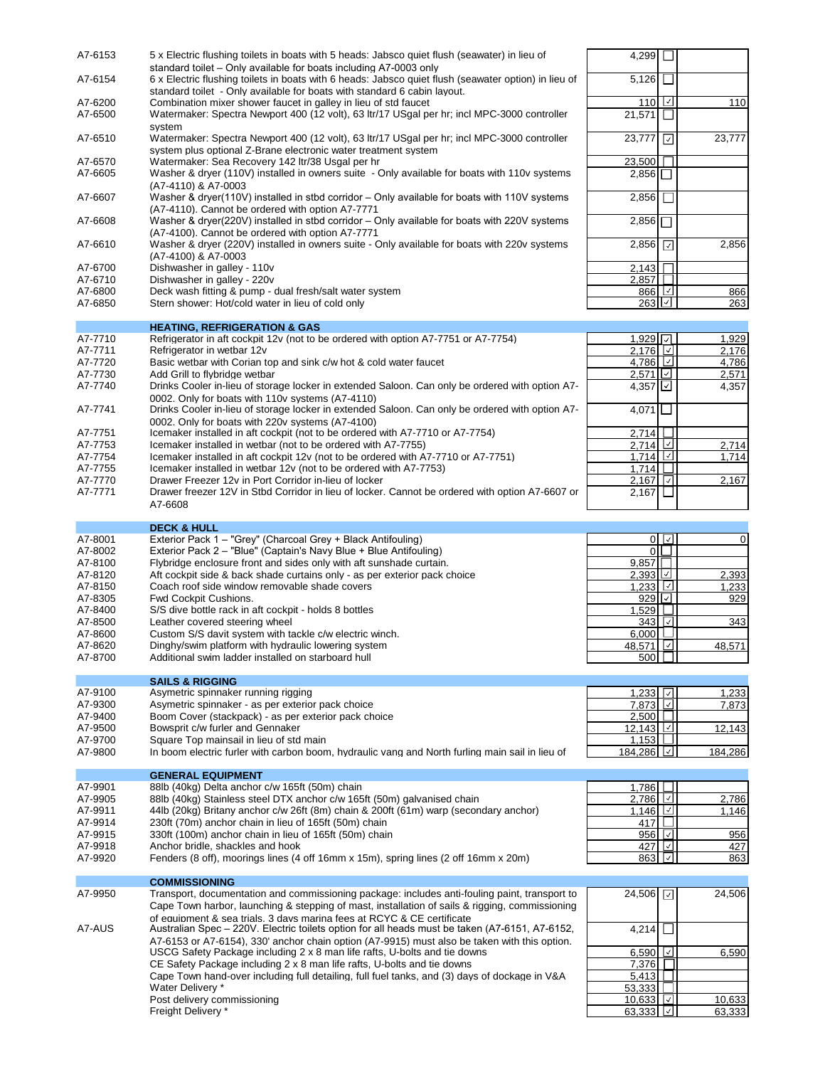| A7-6153            | 5 x Electric flushing toilets in boats with 5 heads: Jabsco quiet flush (seawater) in lieu of                                                                                                   | 4,299                                  |                |                |
|--------------------|-------------------------------------------------------------------------------------------------------------------------------------------------------------------------------------------------|----------------------------------------|----------------|----------------|
| A7-6154            | standard toilet – Only available for boats including A7-0003 only<br>6 x Electric flushing toilets in boats with 6 heads: Jabsco quiet flush (seawater option) in lieu of                       | 5,126                                  |                |                |
| A7-6200            | standard toilet - Only available for boats with standard 6 cabin layout.<br>Combination mixer shower faucet in galley in lieu of std faucet                                                     | 110                                    |                | 110            |
| A7-6500            | Watermaker: Spectra Newport 400 (12 volt), 63 ltr/17 USgal per hr; incl MPC-3000 controller<br>system                                                                                           | 21,571                                 |                |                |
| A7-6510            | Watermaker: Spectra Newport 400 (12 volt), 63 ltr/17 USgal per hr; incl MPC-3000 controller<br>system plus optional Z-Brane electronic water treatment system                                   | 23,777                                 | ⊡              | 23,777         |
| A7-6570            | Watermaker: Sea Recovery 142 ltr/38 Usgal per hr                                                                                                                                                | 23,500                                 |                |                |
| A7-6605            | Washer & dryer (110V) installed in owners suite - Only available for boats with 110v systems                                                                                                    | $2,856$                                |                |                |
| A7-6607            | (A7-4110) & A7-0003<br>Washer & dryer(110V) installed in stbd corridor – Only available for boats with 110V systems                                                                             | 2,856                                  |                |                |
|                    | (A7-4110). Cannot be ordered with option A7-7771                                                                                                                                                |                                        |                |                |
| A7-6608            | Washer & dryer(220V) installed in stbd corridor - Only available for boats with 220V systems<br>(A7-4100). Cannot be ordered with option A7-7771                                                | 2,856                                  |                |                |
| A7-6610            | Washer & dryer (220V) installed in owners suite - Only available for boats with 220v systems                                                                                                    | 2,856                                  |                | 2,856          |
| A7-6700            | (A7-4100) & A7-0003<br>Dishwasher in galley - 110v                                                                                                                                              | 2,143                                  |                |                |
| A7-6710            | Dishwasher in galley - 220v                                                                                                                                                                     | $2,857$ $\Box$                         |                |                |
| A7-6800            | Deck wash fitting & pump - dual fresh/salt water system                                                                                                                                         | 866                                    |                | 866            |
| A7-6850            | Stern shower: Hot/cold water in lieu of cold only                                                                                                                                               | 263                                    | ∣√∣            | 263            |
|                    |                                                                                                                                                                                                 |                                        |                |                |
|                    | <b>HEATING, REFRIGERATION &amp; GAS</b><br>Refrigerator in aft cockpit 12v (not to be ordered with option A7-7751 or A7-7754)                                                                   |                                        |                |                |
| A7-7710<br>A7-7711 | Refrigerator in wetbar 12v                                                                                                                                                                      | $1.929$ $\neg$<br>2.176                |                | 1,929<br>2,176 |
| A7-7720            | Basic wetbar with Corian top and sink c/w hot & cold water faucet                                                                                                                               | 4,786                                  |                | 4,786          |
| A7-7730            | Add Grill to flybridge wetbar                                                                                                                                                                   | $2,571$ $\boxed{\vee}$                 |                | 2,571          |
| A7-7740            | Drinks Cooler in-lieu of storage locker in extended Saloon. Can only be ordered with option A7-                                                                                                 | $4,357$ $\boxed{\cup}$                 |                | 4,357          |
|                    | 0002. Only for boats with 110v systems (A7-4110)                                                                                                                                                |                                        |                |                |
| A7-7741            | Drinks Cooler in-lieu of storage locker in extended Saloon. Can only be ordered with option A7-                                                                                                 | $4,071$                                |                |                |
|                    | 0002. Only for boats with 220y systems (A7-4100)                                                                                                                                                |                                        |                |                |
| A7-7751            | Icemaker installed in aft cockpit (not to be ordered with A7-7710 or A7-7754)                                                                                                                   | 2,714<br>2,714                         |                |                |
| A7-7753<br>A7-7754 | Icemaker installed in wetbar (not to be ordered with A7-7755)<br>Icemaker installed in aft cockpit 12v (not to be ordered with A7-7710 or A7-7751)                                              | 1,714                                  |                | 2,714          |
| A7-7755            | Icemaker installed in wetbar 12v (not to be ordered with A7-7753)                                                                                                                               | 1.714                                  |                | 1,714          |
| A7-7770            | Drawer Freezer 12v in Port Corridor in-lieu of locker                                                                                                                                           | $2,167$ $\sqrt{2}$                     |                | 2,167          |
| A7-7771            | Drawer freezer 12V in Stbd Corridor in lieu of locker. Cannot be ordered with option A7-6607 or                                                                                                 | 2,167                                  |                |                |
|                    | A7-6608                                                                                                                                                                                         |                                        |                |                |
|                    |                                                                                                                                                                                                 |                                        |                |                |
|                    | <b>DECK &amp; HULL</b>                                                                                                                                                                          |                                        |                |                |
| A7-8001<br>A7-8002 | Exterior Pack 1 - "Grey" (Charcoal Grey + Black Antifouling)<br>Exterior Pack 2 - "Blue" (Captain's Navy Blue + Blue Antifouling)                                                               | $\Omega$                               | 0 <sup>1</sup> | $\mathbf 0$    |
| A7-8100            | Flybridge enclosure front and sides only with aft sunshade curtain.                                                                                                                             | 9,857                                  |                |                |
| A7-8120            | Aft cockpit side & back shade curtains only - as per exterior pack choice                                                                                                                       | 2,393                                  |                | 2,393          |
| A7-8150            | Coach roof side window removable shade covers                                                                                                                                                   | 1,233                                  |                | 1,233          |
| A7-8305            | Fwd Cockpit Cushions.                                                                                                                                                                           |                                        |                |                |
|                    |                                                                                                                                                                                                 | 929                                    | l√l            | 929            |
| A7-8400            | S/S dive bottle rack in aft cockpit - holds 8 bottles                                                                                                                                           | 1.529 $\Box$                           |                |                |
| A7-8500            | Leather covered steering wheel                                                                                                                                                                  | 343   기                                |                | 343            |
| A7-8600            | Custom S/S davit system with tackle c/w electric winch.                                                                                                                                         | 6,000                                  |                |                |
| A7-8620            | Dinghy/swim platform with hydraulic lowering system                                                                                                                                             | 48.571 $\boxed{7}$                     |                | 48.571         |
| A7-8700            | Additional swim ladder installed on starboard hull                                                                                                                                              | 500 <sub>l</sub>                       |                |                |
|                    |                                                                                                                                                                                                 |                                        |                |                |
|                    | <b>SAILS &amp; RIGGING</b>                                                                                                                                                                      |                                        |                |                |
| A7-9100<br>A7-9300 | Asymetric spinnaker running rigging<br>Asymetric spinnaker - as per exterior pack choice                                                                                                        | 1,233 $\Box$                           |                | 1,233<br>7,873 |
| A7-9400            | Boom Cover (stackpack) - as per exterior pack choice                                                                                                                                            | 7,873 $\boxed{\triangledown}$<br>2,500 |                |                |
| A7-9500            | Bowsprit c/w furler and Gennaker                                                                                                                                                                | 12,143                                 |                | 12,143         |
| A7-9700            | Square Top mainsail in lieu of std main                                                                                                                                                         | <u>1,153 <math>\Box</math></u>         |                |                |
| A7-9800            | In boom electric furler with carbon boom, hydraulic vang and North furling main sail in lieu of                                                                                                 | 184,286                                |                | 184,286        |
|                    |                                                                                                                                                                                                 |                                        |                |                |
|                    | <b>GENERAL EQUIPMENT</b>                                                                                                                                                                        |                                        |                |                |
| A7-9901<br>A7-9905 | 88lb (40kg) Delta anchor c/w 165ft (50m) chain<br>88lb (40kg) Stainless steel DTX anchor c/w 165ft (50m) galvanised chain                                                                       | 1,786                                  |                | 2,786          |
| A7-9911            | 44lb (20kg) Britany anchor c/w 26ft (8m) chain & 200ft (61m) warp (secondary anchor)                                                                                                            | 2,786<br>1,146                         |                | 1,146          |
| A7-9914            | 230ft (70m) anchor chain in lieu of 165ft (50m) chain                                                                                                                                           | 417                                    |                |                |
| A7-9915            | 330ft (100m) anchor chain in lieu of 165ft (50m) chain                                                                                                                                          | 956 [기                                 |                | 956            |
| A7-9918            | Anchor bridle, shackles and hook                                                                                                                                                                | 427 2                                  |                | 427            |
| A7-9920            | Fenders (8 off), moorings lines (4 off 16mm x 15m), spring lines (2 off 16mm x 20m)                                                                                                             | 863                                    | ⊻              | 863            |
|                    |                                                                                                                                                                                                 |                                        |                |                |
|                    | <b>COMMISSIONING</b>                                                                                                                                                                            |                                        |                |                |
| A7-9950            | Transport, documentation and commissioning package: includes anti-fouling paint, transport to<br>Cape Town harbor, launching & stepping of mast, installation of sails & rigging, commissioning | 24,506 7                               |                | 24,506         |
|                    | of equipment & sea trials. 3 davs marina fees at RCYC & CE certificate                                                                                                                          |                                        |                |                |
| A7-AUS             | Australian Spec - 220V. Electric toilets option for all heads must be taken (A7-6151, A7-6152,                                                                                                  | $4,214$ $\Box$                         |                |                |
|                    | A7-6153 or A7-6154), 330' anchor chain option (A7-9915) must also be taken with this option.                                                                                                    |                                        |                |                |
|                    | USCG Safety Package including 2 x 8 man life rafts, U-bolts and tie downs                                                                                                                       | $6,590$ 네                              |                | 6,590          |
|                    | CE Safety Package including 2 x 8 man life rafts, U-bolts and tie downs                                                                                                                         | 7,376                                  |                |                |
|                    | Cape Town hand-over including full detailing, full fuel tanks, and (3) days of dockage in V&A                                                                                                   | 5,413                                  |                |                |
|                    | Water Delivery *<br>Post delivery commissioning                                                                                                                                                 | 53,333<br>$10,633$ $\vee$              |                | 10,633         |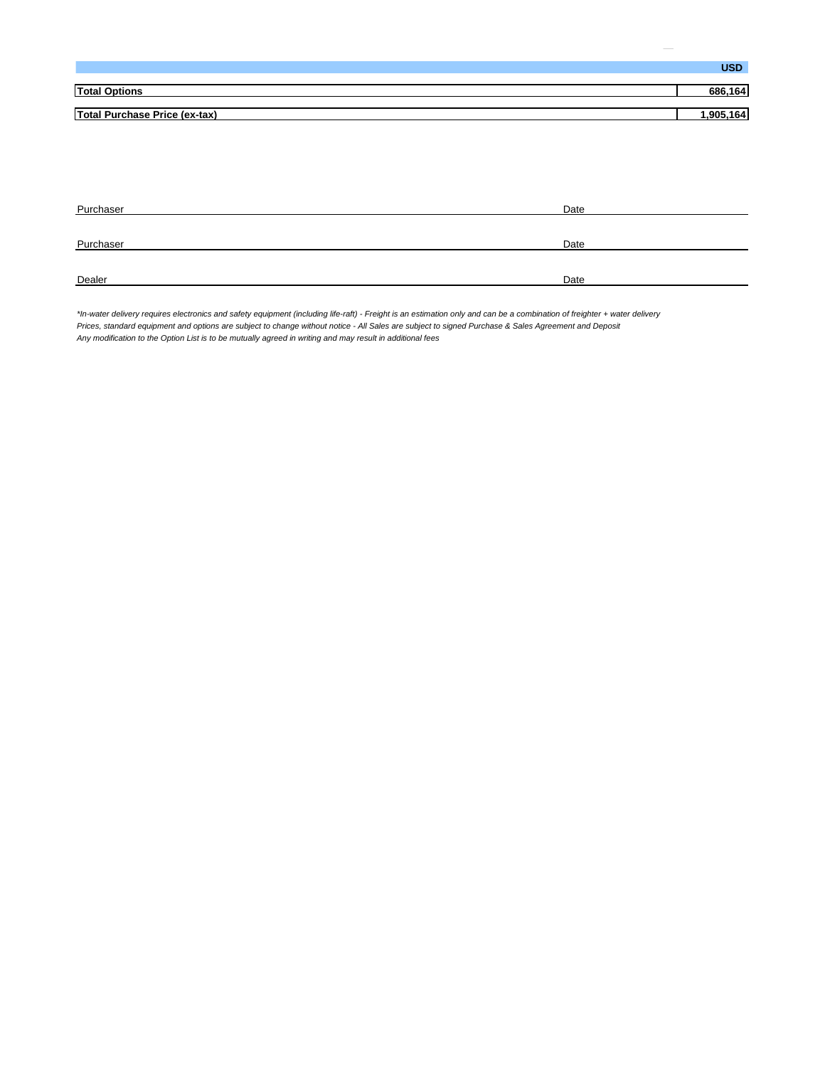|                                      | <b>USD</b> |
|--------------------------------------|------------|
|                                      |            |
| <b>Total Options</b>                 | 686.164    |
|                                      |            |
| <b>Total Purchase Price (ex-tax)</b> |            |
|                                      |            |

| Purchaser | Date |
|-----------|------|
|           |      |
| Purchaser | Date |
|           |      |
| Dealer    | Date |

*\*In-water delivery requires electronics and safety equipment (including life-raft) - Freight is an estimation only and can be a combination of freighter + water delivery Prices, standard equipment and options are subject to change without notice - All Sales are subject to signed Purchase & Sales Agreement and Deposit Any modification to the Option List is to be mutually agreed in writing and may result in additional fees*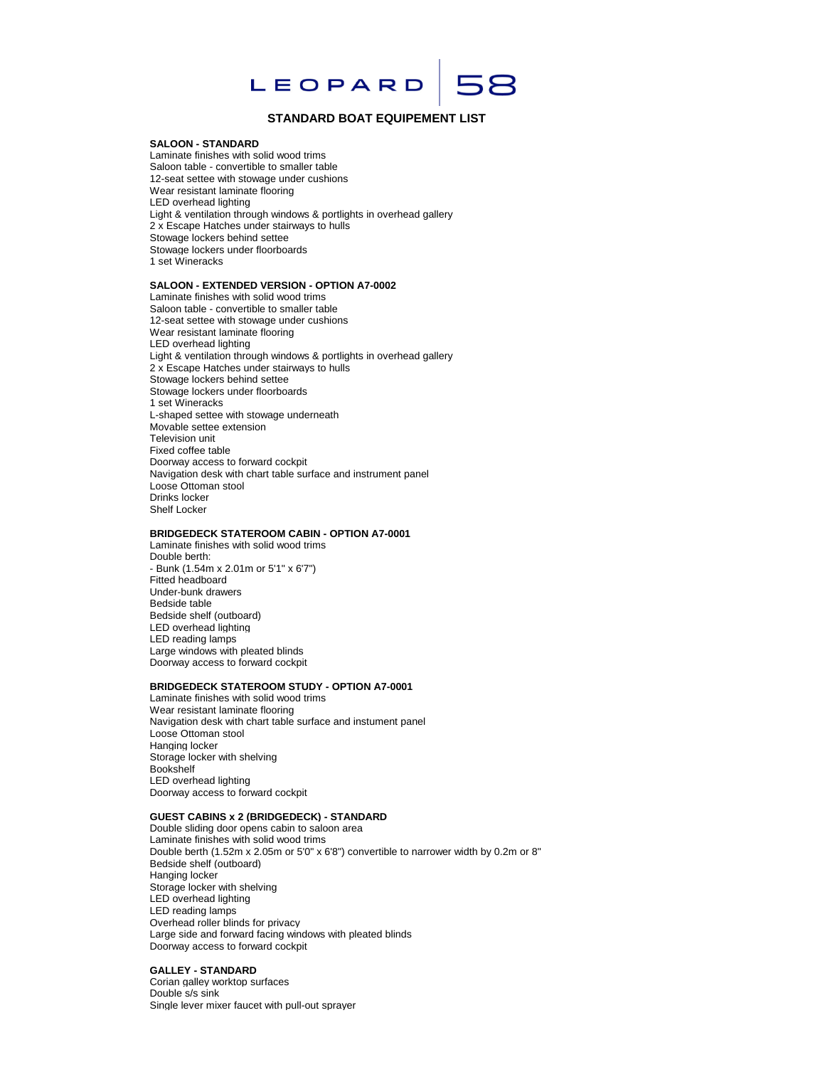

# **STANDARD BOAT EQUIPEMENT LIST**

#### **SALOON - STANDARD**

Laminate finishes with solid wood trims Saloon table - convertible to smaller table 12-seat settee with stowage under cushions Wear resistant laminate flooring LED overhead lighting Light & ventilation through windows & portlights in overhead gallery 2 x Escape Hatches under stairways to hulls Stowage lockers behind settee Stowage lockers under floorboards 1 set Wineracks

### **SALOON - EXTENDED VERSION - OPTION A7-0002**

Laminate finishes with solid wood trims Saloon table - convertible to smaller table 12-seat settee with stowage under cushions Wear resistant laminate flooring LED overhead lighting Light & ventilation through windows & portlights in overhead gallery 2 x Escape Hatches under stairways to hulls Stowage lockers behind settee Stowage lockers under floorboards 1 set Wineracks L-shaped settee with stowage underneath Movable settee extension Television unit Fixed coffee table Doorway access to forward cockpit Navigation desk with chart table surface and instrument panel Loose Ottoman stool Drinks locker Shelf Locker

### **BRIDGEDECK STATEROOM CABIN - OPTION A7-0001**

Laminate finishes with solid wood trims Double berth: - Bunk (1.54m x 2.01m or 5'1" x 6'7") Fitted headboard Under-bunk drawers Bedside table Bedside shelf (outboard) LED overhead lighting LED reading lamps Large windows with pleated blinds Doorway access to forward cockpit

#### **BRIDGEDECK STATEROOM STUDY - OPTION A7-0001**

Laminate finishes with solid wood trims Wear resistant laminate flooring Navigation desk with chart table surface and instument panel Loose Ottoman stool Hanging locker Storage locker with shelving Bookshelf LED overhead lighting Doorway access to forward cockpit

### **GUEST CABINS x 2 (BRIDGEDECK) - STANDARD**

Double sliding door opens cabin to saloon area Laminate finishes with solid wood trims Double berth (1.52m x 2.05m or 5'0" x 6'8") convertible to narrower width by 0.2m or 8" Bedside shelf (outboard) Hanging locker Storage locker with shelving LED overhead lighting LED reading lamps Overhead roller blinds for privacy Large side and forward facing windows with pleated blinds Doorway access to forward cockpit

#### **GALLEY - STANDARD**

Corian galley worktop surfaces Double s/s sink Single lever mixer faucet with pull-out sprayer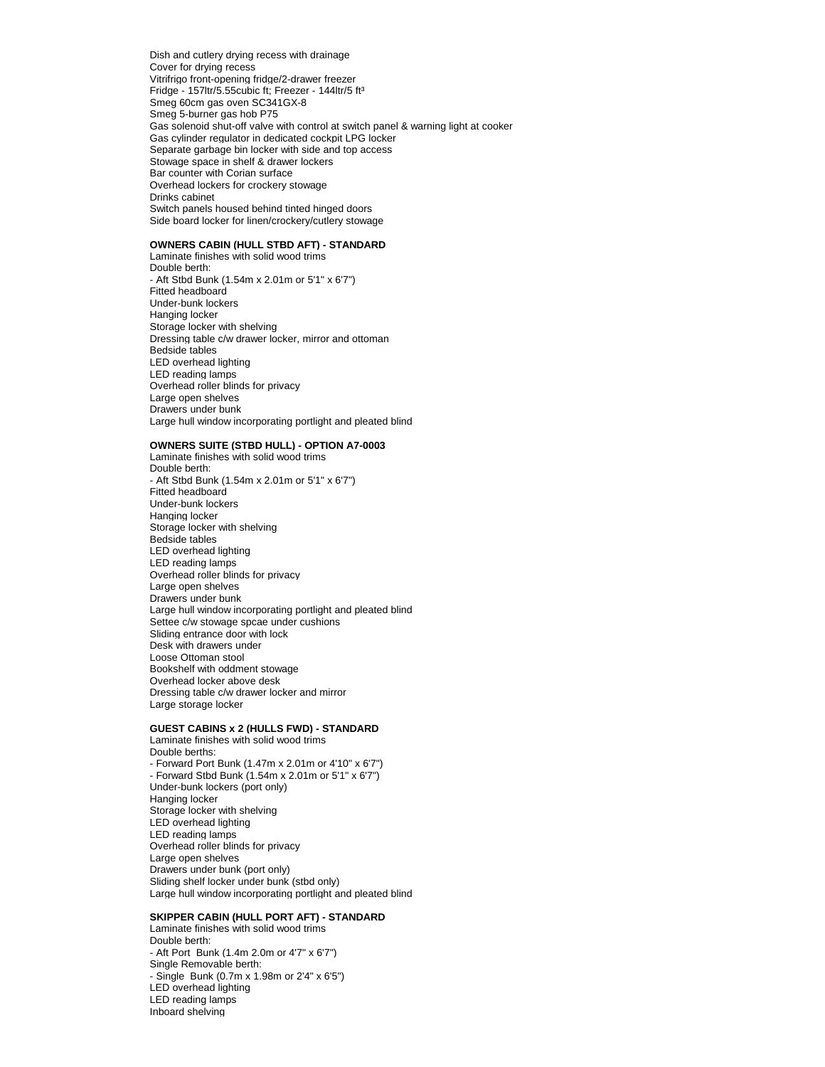Dish and cutlery drying recess with drainage Cover for drying recess Vitrifrigo front-opening fridge/2-drawer freezer Fridge - 157ltr/5.55cubic ft; Freezer - 144ltr/5 ft<sup>3</sup> Smeg 60cm gas oven SC341GX-8 Smeg 5-burner gas hob P75 Gas solenoid shut-off valve with control at switch panel & warning light at cooker Gas cylinder regulator in dedicated cockpit LPG locker Separate garbage bin locker with side and top access Stowage space in shelf & drawer lockers Bar counter with Corian surface Overhead lockers for crockery stowage Drinks cabinet Switch panels housed behind tinted hinged doors Side board locker for linen/crockery/cutlery stowage

### **OWNERS CABIN (HULL STBD AFT) - STANDARD**

Laminate finishes with solid wood trims Double berth: - Aft Stbd Bunk (1.54m x 2.01m or 5'1" x 6'7") Fitted headboard Under-bunk lockers Hanging locker Storage locker with shelving Dressing table c/w drawer locker, mirror and ottoman Bedside tables LED overhead lighting LED reading lamps Overhead roller blinds for privacy Large open shelves Drawers under bunk Large hull window incorporating portlight and pleated blind

# **OWNERS SUITE (STBD HULL) - OPTION A7-0003**

Laminate finishes with solid wood trims Double berth: - Aft Stbd Bunk (1.54m x 2.01m or 5'1" x 6'7") Fitted headboard Under-bunk lockers Hanging locker Storage locker with shelving Bedside tables LED overhead lighting LED reading lamps Overhead roller blinds for privacy Large open shelves Drawers under bunk Large hull window incorporating portlight and pleated blind Settee c/w stowage spcae under cushions Sliding entrance door with lock Desk with drawers under Loose Ottoman stool Bookshelf with oddment stowage Overhead locker above desk Dressing table c/w drawer locker and mirror Large storage locker

#### **GUEST CABINS x 2 (HULLS FWD) - STANDARD**

Laminate finishes with solid wood trims Double berths: - Forward Port Bunk (1.47m x 2.01m or 4'10" x 6'7") - Forward Stbd Bunk (1.54m x 2.01m or 5'1" x 6'7") Under-bunk lockers (port only) Hanging locker Storage locker with shelving LED overhead lighting LED reading lamps Overhead roller blinds for privacy Large open shelves Drawers under bunk (port only) Sliding shelf locker under bunk (stbd only) Large hull window incorporating portlight and pleated blind

# **SKIPPER CABIN (HULL PORT AFT) - STANDARD**

Laminate finishes with solid wood trims Double berth: - Aft Port Bunk (1.4m 2.0m or 4'7" x 6'7") Single Removable berth: - Single Bunk (0.7m x 1.98m or 2'4" x 6'5") LED overhead lighting LED reading lamps Inboard shelving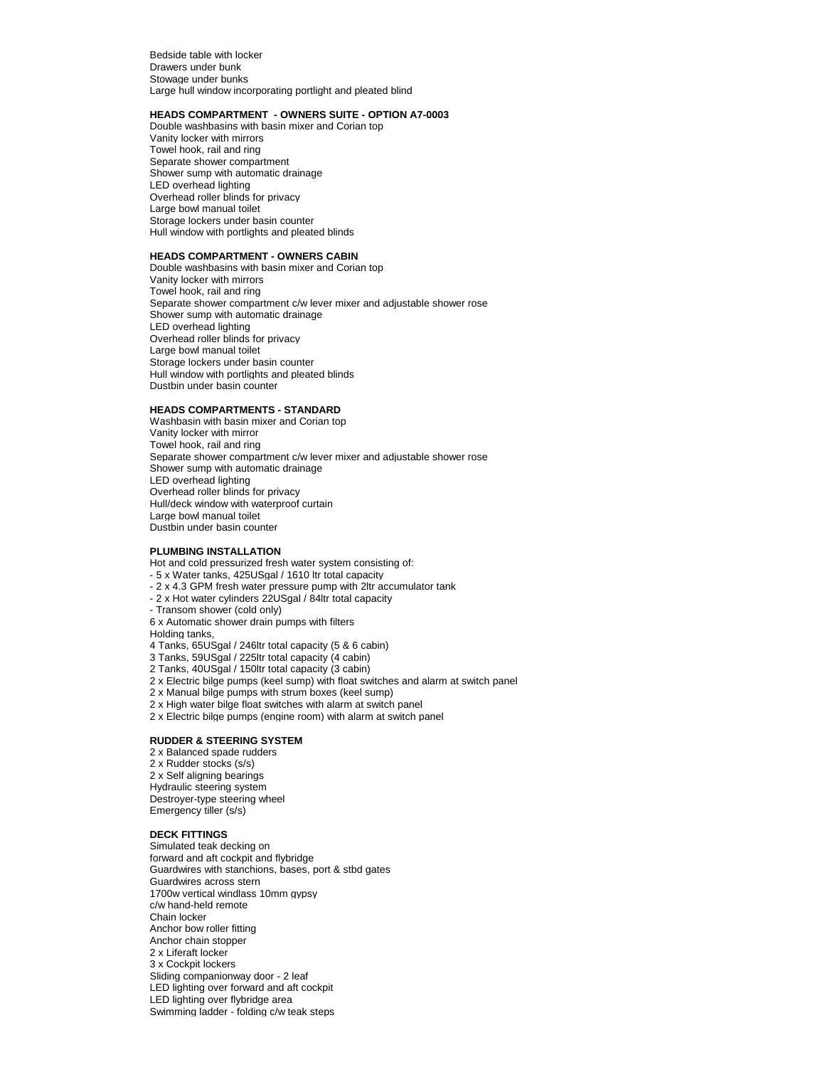Bedside table with locker Drawers under bunk Stowage under bunks Large hull window incorporating portlight and pleated blind

#### **HEADS COMPARTMENT - OWNERS SUITE - OPTION A7-0003**

Double washbasins with basin mixer and Corian top Vanity locker with mirrors Towel hook, rail and ring Separate shower compartment Shower sump with automatic drainage LED overhead lighting Overhead roller blinds for privacy Large bowl manual toilet Storage lockers under basin counter Hull window with portlights and pleated blinds

#### **HEADS COMPARTMENT - OWNERS CABIN**

Double washbasins with basin mixer and Corian top Vanity locker with mirrors Towel hook, rail and ring Separate shower compartment c/w lever mixer and adjustable shower rose Shower sump with automatic drainage LED overhead lighting Overhead roller blinds for privacy Large bowl manual toilet Storage lockers under basin counter Hull window with portlights and pleated blinds Dustbin under basin counter

### **HEADS COMPARTMENTS - STANDARD**

Washbasin with basin mixer and Corian top Vanity locker with mirror Towel hook, rail and ring Separate shower compartment c/w lever mixer and adjustable shower rose Shower sump with automatic drainage LED overhead lighting Overhead roller blinds for privacy Hull/deck window with waterproof curtain Large bowl manual toilet Dustbin under basin counter

#### **PLUMBING INSTALLATION**

Hot and cold pressurized fresh water system consisting of:

- 5 x Water tanks, 425USgal / 1610 ltr total capacity
- 2 x 4.3 GPM fresh water pressure pump with 2ltr accumulator tank
- 2 x Hot water cylinders 22USgal / 84ltr total capacity
- Transom shower (cold only)
- 6 x Automatic shower drain pumps with filters
- Holding tanks,
- 4 Tanks, 65USgal / 246ltr total capacity (5 & 6 cabin)
- 3 Tanks, 59USgal / 225ltr total capacity (4 cabin)
- 2 Tanks, 40USgal / 150ltr total capacity (3 cabin)
- 2 x Electric bilge pumps (keel sump) with float switches and alarm at switch panel
- 2 x Manual bilge pumps with strum boxes (keel sump)
- 2 x High water bilge float switches with alarm at switch panel
- 2 x Electric bilge pumps (engine room) with alarm at switch panel

# **RUDDER & STEERING SYSTEM**

2 x Balanced spade rudders 2 x Rudder stocks (s/s) 2 x Self aligning bearings Hydraulic steering system Destroyer-type steering wheel Emergency tiller (s/s)

#### **DECK FITTINGS**

Simulated teak decking on forward and aft cockpit and flybridge Guardwires with stanchions, bases, port & stbd gates Guardwires across stern 1700w vertical windlass 10mm gypsy c/w hand-held remote Chain locker Anchor bow roller fitting Anchor chain stopper 2 x Liferaft locker 3 x Cockpit lockers Sliding companionway door - 2 leaf LED lighting over forward and aft cockpit LED lighting over flybridge area Swimming ladder - folding c/w teak steps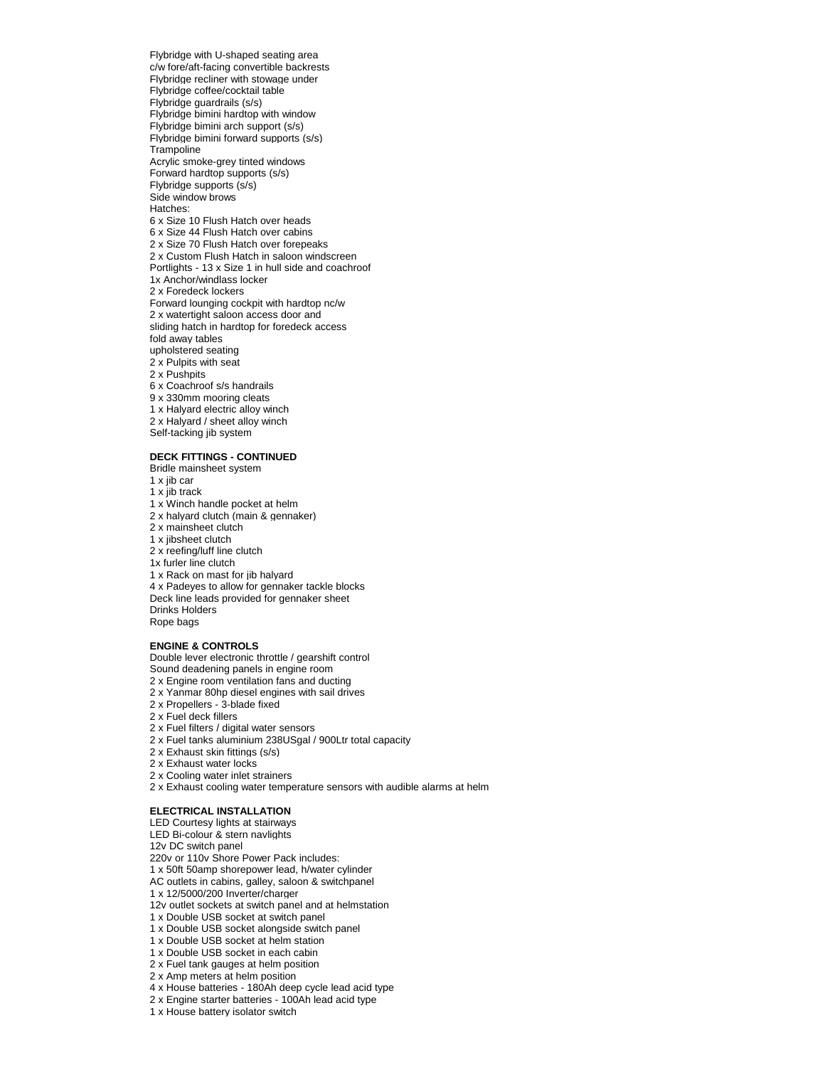Flybridge with U-shaped seating area c/w fore/aft-facing convertible backrests Flybridge recliner with stowage under Flybridge coffee/cocktail table Flybridge guardrails (s/s) Flybridge bimini hardtop with window Flybridge bimini arch support (s/s) Flybridge bimini forward supports (s/s) **Trampoline** Acrylic smoke-grey tinted windows Forward hardtop supports (s/s) Flybridge supports (s/s) Side window brows Hatches: 6 x Size 10 Flush Hatch over heads 6 x Size 44 Flush Hatch over cabins 2 x Size 70 Flush Hatch over forepeaks 2 x Custom Flush Hatch in saloon windscreen Portlights - 13 x Size 1 in hull side and coachroof 1x Anchor/windlass locker 2 x Foredeck lockers Forward lounging cockpit with hardtop nc/w 2 x watertight saloon access door and sliding hatch in hardtop for foredeck access fold away tables upholstered seating 2 x Pulpits with seat 2 x Pushpits 6 x Coachroof s/s handrails 9 x 330mm mooring cleats 1 x Halyard electric alloy winch 2 x Halyard / sheet alloy winch Self-tacking jib system

#### **DECK FITTINGS - CONTINUED**

Bridle mainsheet system 1 x jib car 1 x jib track 1 x Winch handle pocket at helm 2 x halyard clutch (main & gennaker) 2 x mainsheet clutch 1 x jibsheet clutch 2 x reefing/luff line clutch 1x furler line clutch 1 x Rack on mast for jib halyard 4 x Padeyes to allow for gennaker tackle blocks Deck line leads provided for gennaker sheet Drinks Holders Rope bags

#### **ENGINE & CONTROLS**

Double lever electronic throttle / gearshift control

- Sound deadening panels in engine room
- 2 x Engine room ventilation fans and ducting
- 2 x Yanmar 80hp diesel engines with sail drives
- 2 x Propellers 3-blade fixed
- 2 x Fuel deck fillers
- 2 x Fuel filters / digital water sensors
- 2 x Fuel tanks aluminium 238USgal / 900Ltr total capacity
- 2 x Exhaust skin fittings (s/s)
- 2 x Exhaust water locks
- 2 x Cooling water inlet strainers
- 2 x Exhaust cooling water temperature sensors with audible alarms at helm

#### **ELECTRICAL INSTALLATION**

LED Courtesy lights at stairways LED Bi-colour & stern navlights 12v DC switch panel 220v or 110v Shore Power Pack includes: 1 x 50ft 50amp shorepower lead, h/water cylinder AC outlets in cabins, galley, saloon & switchpanel 1 x 12/5000/200 Inverter/charger 12v outlet sockets at switch panel and at helmstation 1 x Double USB socket at switch panel 1 x Double USB socket alongside switch panel 1 x Double USB socket at helm station 1 x Double USB socket in each cabin 2 x Fuel tank gauges at helm position 2 x Amp meters at helm position

- 4 x House batteries 180Ah deep cycle lead acid type
- 2 x Engine starter batteries 100Ah lead acid type
- 1 x House battery isolator switch